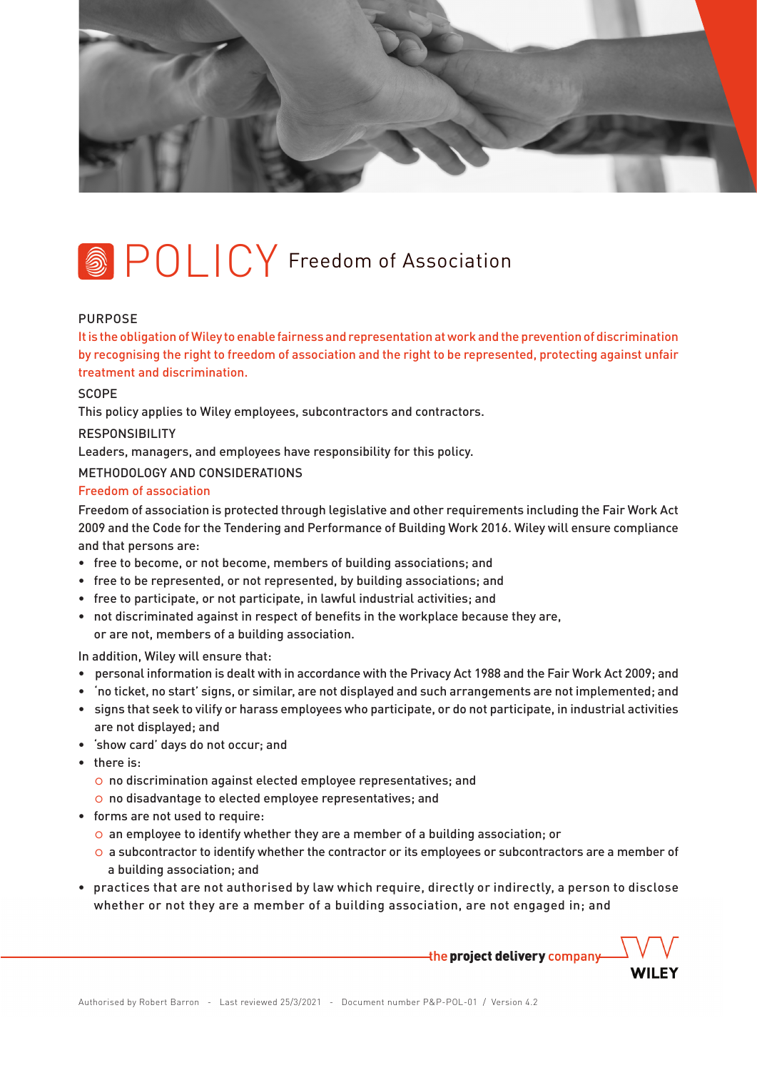

# **SPOLICY** Freedom of Association

### PURPOSE

It is the obligation of Wiley to enable fairness and representation at work and the prevention of discrimination by recognising the right to freedom of association and the right to be represented, protecting against unfair treatment and discrimination.

**SCOPE** 

This policy applies to Wiley employees, subcontractors and contractors.

## RESPONSIBILITY

Leaders, managers, and employees have responsibility for this policy.

METHODOLOGY AND CONSIDERATIONS

### Freedom of association

Freedom of association is protected through legislative and other requirements including the Fair Work Act 2009 and the Code for the Tendering and Performance of Building Work 2016. Wiley will ensure compliance and that persons are:

- free to become, or not become, members of building associations; and
- free to be represented, or not represented, by building associations; and
- free to participate, or not participate, in lawful industrial activities; and
- not discriminated against in respect of benefits in the workplace because they are, or are not, members of a building association.

In addition, Wiley will ensure that:

- personal information is dealt with in accordance with the Privacy Act 1988 and the Fair Work Act 2009; and
- 'no ticket, no start' signs, or similar, are not displayed and such arrangements are not implemented; and
- signs that seek to vilify or harass employees who participate, or do not participate, in industrial activities are not displayed; and
- 'show card' days do not occur; and
- there is:
	- o no discrimination against elected employee representatives; and
	- o no disadvantage to elected employee representatives; and
- forms are not used to require:
	- $\circ$  an employee to identify whether they are a member of a building association; or
	- $\circ$  a subcontractor to identify whether the contractor or its employees or subcontractors are a member of . a building association; and
- practices that are not authorised by law which require, directly or indirectly, a person to disclose whether or not they are a member of a building association, are not engaged in; and

the project delivery company

**WILEY**